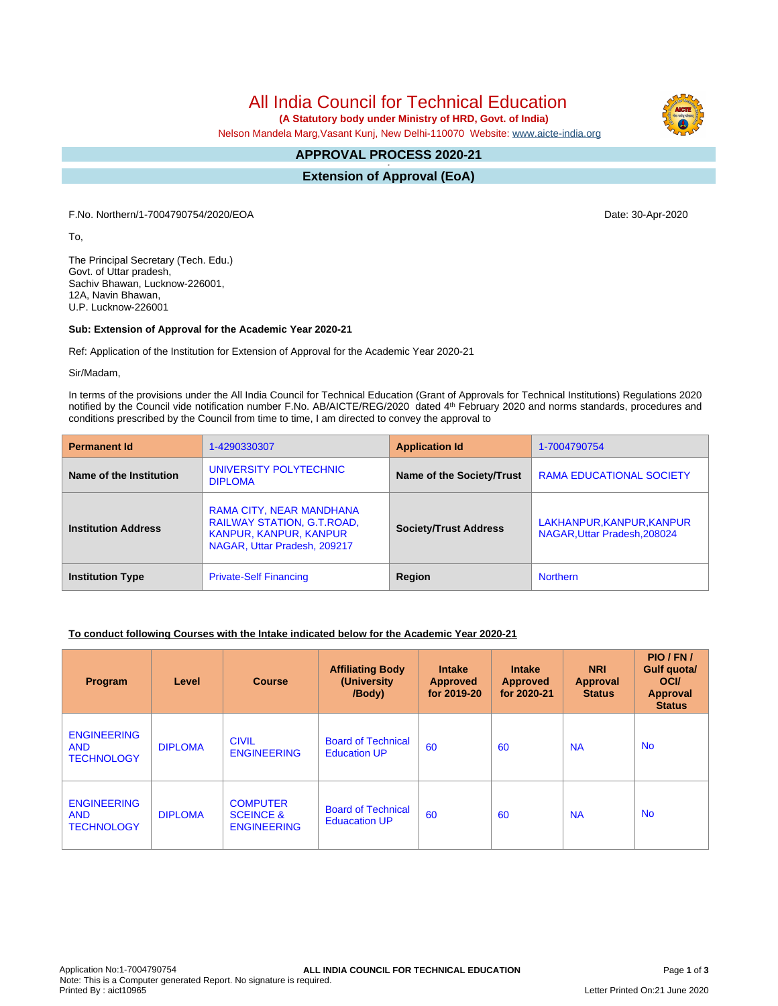# All India Council for Technical Education

 **(A Statutory body under Ministry of HRD, Govt. of India)**

Nelson Mandela Marg,Vasant Kunj, New Delhi-110070 Website: [www.aicte-india.org](http://www.aicte-india.org)

#### **APPROVAL PROCESS 2020-21 -**

**Extension of Approval (EoA)**

F.No. Northern/1-7004790754/2020/EOA Date: 30-Apr-2020

To,

The Principal Secretary (Tech. Edu.) Govt. of Uttar pradesh, Sachiv Bhawan, Lucknow-226001, 12A, Navin Bhawan, U.P. Lucknow-226001

### **Sub: Extension of Approval for the Academic Year 2020-21**

Ref: Application of the Institution for Extension of Approval for the Academic Year 2020-21

Sir/Madam,

In terms of the provisions under the All India Council for Technical Education (Grant of Approvals for Technical Institutions) Regulations 2020 notified by the Council vide notification number F.No. AB/AICTE/REG/2020 dated 4<sup>th</sup> February 2020 and norms standards, procedures and conditions prescribed by the Council from time to time, I am directed to convey the approval to

| <b>Permanent Id</b>        | 1-4290330307                                                                                                     | <b>Application Id</b>        | 1-7004790754                                              |  |
|----------------------------|------------------------------------------------------------------------------------------------------------------|------------------------------|-----------------------------------------------------------|--|
| Name of the Institution    | UNIVERSITY POLYTECHNIC<br><b>DIPLOMA</b>                                                                         | Name of the Society/Trust    | <b>RAMA EDUCATIONAL SOCIETY</b>                           |  |
| <b>Institution Address</b> | RAMA CITY, NEAR MANDHANA<br>RAILWAY STATION, G.T.ROAD,<br>KANPUR, KANPUR, KANPUR<br>NAGAR, Uttar Pradesh, 209217 | <b>Society/Trust Address</b> | LAKHANPUR, KANPUR, KANPUR<br>NAGAR. Uttar Pradesh. 208024 |  |
| <b>Institution Type</b>    | <b>Private-Self Financing</b>                                                                                    | Region                       | <b>Northern</b>                                           |  |

### **To conduct following Courses with the Intake indicated below for the Academic Year 2020-21**

| Program                                               | Level          | <b>Course</b>                                                 | <b>Affiliating Body</b><br>(University)<br>/Body) | <b>Intake</b><br><b>Approved</b><br>for 2019-20 | <b>Intake</b><br><b>Approved</b><br>for 2020-21 | <b>NRI</b><br><b>Approval</b><br><b>Status</b> | PIO/FN/<br>Gulf quota/<br><b>OCI</b><br>Approval<br><b>Status</b> |
|-------------------------------------------------------|----------------|---------------------------------------------------------------|---------------------------------------------------|-------------------------------------------------|-------------------------------------------------|------------------------------------------------|-------------------------------------------------------------------|
| <b>ENGINEERING</b><br><b>AND</b><br><b>TECHNOLOGY</b> | <b>DIPLOMA</b> | <b>CIVIL</b><br><b>ENGINEERING</b>                            | <b>Board of Technical</b><br><b>Education UP</b>  | 60                                              | 60                                              | <b>NA</b>                                      | <b>No</b>                                                         |
| <b>ENGINEERING</b><br><b>AND</b><br><b>TECHNOLOGY</b> | <b>DIPLOMA</b> | <b>COMPUTER</b><br><b>SCEINCE &amp;</b><br><b>ENGINEERING</b> | <b>Board of Technical</b><br><b>Eduacation UP</b> | 60                                              | 60                                              | <b>NA</b>                                      | <b>No</b>                                                         |

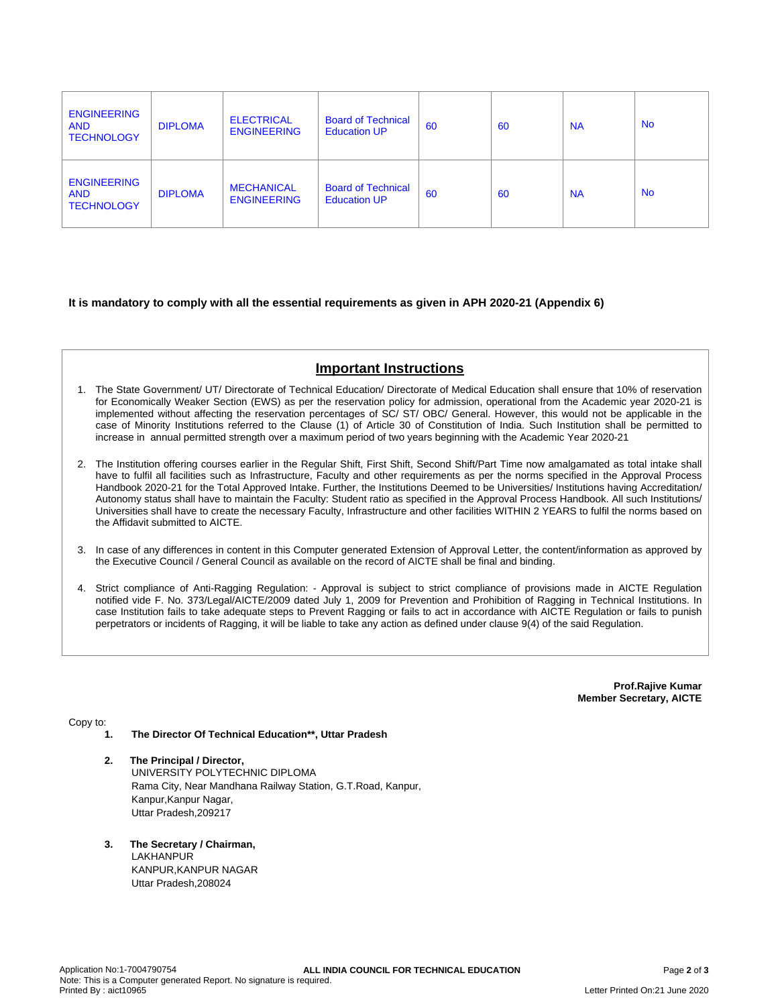| <b>ENGINEERING</b><br><b>AND</b><br><b>TECHNOLOGY</b> | <b>DIPLOMA</b> | <b>ELECTRICAL</b><br><b>ENGINEERING</b> | <b>Board of Technical</b><br><b>Education UP</b> | 60 | 60 | <b>NA</b> | <b>No</b> |
|-------------------------------------------------------|----------------|-----------------------------------------|--------------------------------------------------|----|----|-----------|-----------|
| <b>ENGINEERING</b><br><b>AND</b><br><b>TECHNOLOGY</b> | <b>DIPLOMA</b> | <b>MECHANICAL</b><br><b>ENGINEERING</b> | <b>Board of Technical</b><br><b>Education UP</b> | 60 | 60 | <b>NA</b> | <b>No</b> |

### **It is mandatory to comply with all the essential requirements as given in APH 2020-21 (Appendix 6)**

# **Important Instructions**

- 1. The State Government/ UT/ Directorate of Technical Education/ Directorate of Medical Education shall ensure that 10% of reservation for Economically Weaker Section (EWS) as per the reservation policy for admission, operational from the Academic year 2020-21 is implemented without affecting the reservation percentages of SC/ ST/ OBC/ General. However, this would not be applicable in the case of Minority Institutions referred to the Clause (1) of Article 30 of Constitution of India. Such Institution shall be permitted to increase in annual permitted strength over a maximum period of two years beginning with the Academic Year 2020-21
- 2. The Institution offering courses earlier in the Regular Shift, First Shift, Second Shift/Part Time now amalgamated as total intake shall have to fulfil all facilities such as Infrastructure, Faculty and other requirements as per the norms specified in the Approval Process Handbook 2020-21 for the Total Approved Intake. Further, the Institutions Deemed to be Universities/ Institutions having Accreditation/ Autonomy status shall have to maintain the Faculty: Student ratio as specified in the Approval Process Handbook. All such Institutions/ Universities shall have to create the necessary Faculty, Infrastructure and other facilities WITHIN 2 YEARS to fulfil the norms based on the Affidavit submitted to AICTE.
- 3. In case of any differences in content in this Computer generated Extension of Approval Letter, the content/information as approved by the Executive Council / General Council as available on the record of AICTE shall be final and binding.
- 4. Strict compliance of Anti-Ragging Regulation: Approval is subject to strict compliance of provisions made in AICTE Regulation notified vide F. No. 373/Legal/AICTE/2009 dated July 1, 2009 for Prevention and Prohibition of Ragging in Technical Institutions. In case Institution fails to take adequate steps to Prevent Ragging or fails to act in accordance with AICTE Regulation or fails to punish perpetrators or incidents of Ragging, it will be liable to take any action as defined under clause 9(4) of the said Regulation.

**Prof.Rajive Kumar Member Secretary, AICTE**

Copy to:

- **1. The Director Of Technical Education\*\*, Uttar Pradesh**
- **2. The Principal / Director,** UNIVERSITY POLYTECHNIC DIPLOMA Rama City, Near Mandhana Railway Station, G.T.Road, Kanpur, Kanpur,Kanpur Nagar, Uttar Pradesh,209217
- **3. The Secretary / Chairman, LAKHANPUR** KANPUR,KANPUR NAGAR Uttar Pradesh,208024